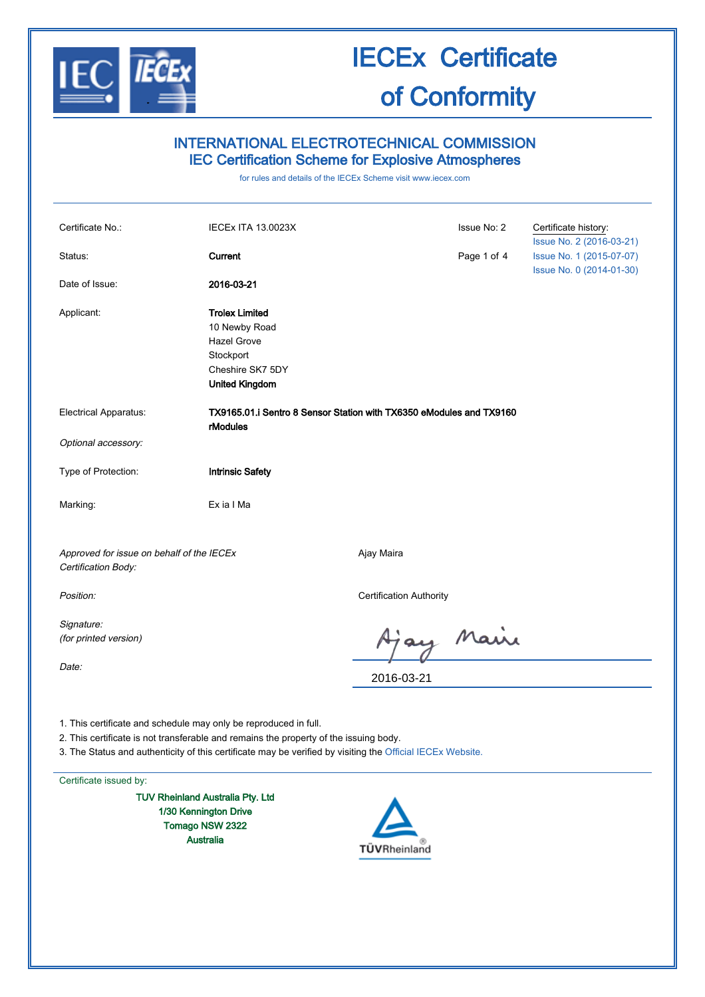

### INTERNATIONAL ELECTROTECHNICAL COMMISSION IEC Certification Scheme for Explosive Atmospheres

for rules and details of the IECEx Scheme visit www.iecex.com

| Certificate No.:                                                 | <b>IECEX ITA 13.0023X</b>                                                                                       |                                | Issue No: 2 | Certificate history:<br>Issue No. 2 (2016-03-21)     |
|------------------------------------------------------------------|-----------------------------------------------------------------------------------------------------------------|--------------------------------|-------------|------------------------------------------------------|
| Status:                                                          | Current                                                                                                         |                                | Page 1 of 4 | Issue No. 1 (2015-07-07)<br>Issue No. 0 (2014-01-30) |
| Date of Issue:                                                   | 2016-03-21                                                                                                      |                                |             |                                                      |
| Applicant:                                                       | <b>Trolex Limited</b><br>10 Newby Road<br>Hazel Grove<br>Stockport<br>Cheshire SK7 5DY<br><b>United Kingdom</b> |                                |             |                                                      |
| <b>Electrical Apparatus:</b>                                     | TX9165.01.i Sentro 8 Sensor Station with TX6350 eModules and TX9160<br>rModules                                 |                                |             |                                                      |
| Optional accessory:                                              |                                                                                                                 |                                |             |                                                      |
| Type of Protection:                                              | <b>Intrinsic Safety</b>                                                                                         |                                |             |                                                      |
| Marking:                                                         | Ex ia I Ma                                                                                                      |                                |             |                                                      |
| Approved for issue on behalf of the IECEx<br>Certification Body: |                                                                                                                 | Ajay Maira                     |             |                                                      |
| Position:                                                        |                                                                                                                 | <b>Certification Authority</b> |             |                                                      |
| Signature:<br>(for printed version)<br>Date:                     |                                                                                                                 |                                | ay Maire    |                                                      |
|                                                                  |                                                                                                                 | 2016-03-21                     |             |                                                      |
| 1 This certificate and schedule may only be reproduced in full   |                                                                                                                 |                                |             |                                                      |

1. This certificate and schedule may only be reproduced in full.

2. This certificate is not transferable and remains the property of the issuing body.

3. The Status and authenticity of this certificate may be verified by visiting the Official IECEx Website.

Certificate issued by:

TUV Rheinland Australia Pty. Ltd 1/30 Kennington Drive Tomago NSW 2322 Australia

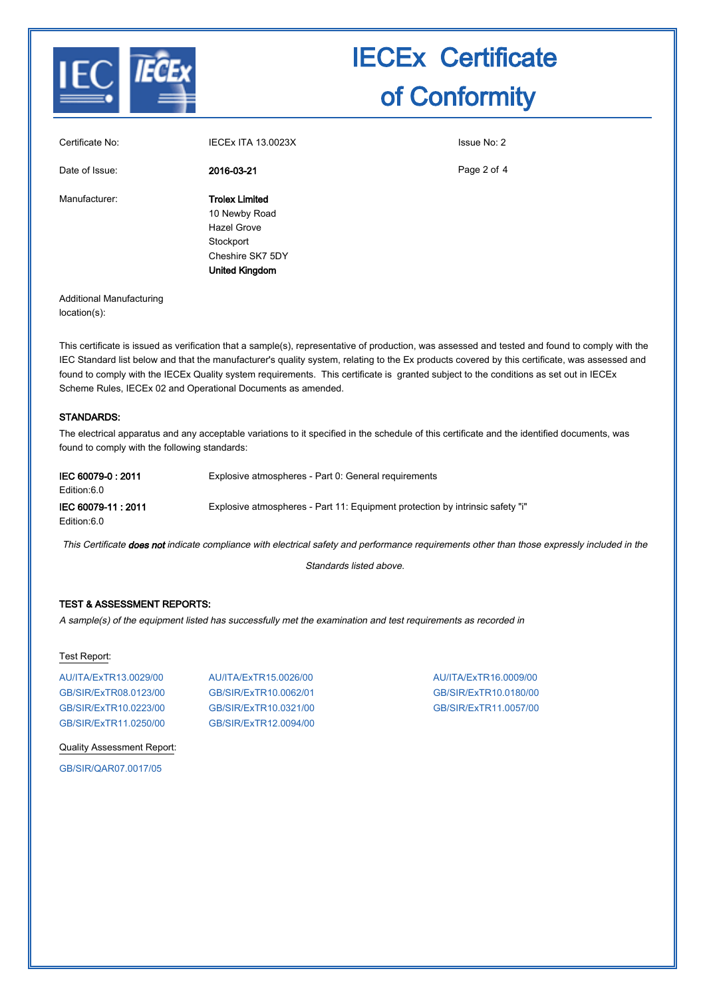

| Certificate No: | <b>IECEX ITA 13.0023X</b>                                                                                       | Issue No: 2 |
|-----------------|-----------------------------------------------------------------------------------------------------------------|-------------|
| Date of Issue:  | 2016-03-21                                                                                                      | Page 2 of 4 |
| Manufacturer:   | <b>Trolex Limited</b><br>10 Newby Road<br><b>Hazel Grove</b><br>Stockport<br>Cheshire SK7 5DY<br>United Kingdom |             |

Additional Manufacturing location(s):

This certificate is issued as verification that a sample(s), representative of production, was assessed and tested and found to comply with the IEC Standard list below and that the manufacturer's quality system, relating to the Ex products covered by this certificate, was assessed and found to comply with the IECEx Quality system requirements. This certificate is granted subject to the conditions as set out in IECEx Scheme Rules, IECEx 02 and Operational Documents as amended.

#### STANDARDS:

The electrical apparatus and any acceptable variations to it specified in the schedule of this certificate and the identified documents, was found to comply with the following standards:

| IEC 60079-0 : 2011<br>Edition:6.0  | Explosive atmospheres - Part 0: General requirements                          |
|------------------------------------|-------------------------------------------------------------------------------|
| IEC 60079-11 : 2011<br>Edition:6.0 | Explosive atmospheres - Part 11: Equipment protection by intrinsic safety "i" |

This Certificate does not indicate compliance with electrical safety and performance requirements other than those expressly included in the

Standards listed above.

#### TEST & ASSESSMENT REPORTS:

A sample(s) of the equipment listed has successfully met the examination and test requirements as recorded in

#### Test Report:

AU/ITA/ExTR13.0029/00 AU/ITA/ExTR15.0026/00 AU/ITA/ExTR16.0009/00 GB/SIR/ExTR08.0123/00 GB/SIR/ExTR10.0062/01 GB/SIR/ExTR10.0180/00 GB/SIR/ExTR10.0223/00 GB/SIR/ExTR10.0321/00 GB/SIR/ExTR11.0057/00 GB/SIR/ExTR11.0250/00 GB/SIR/ExTR12.0094/00

Quality Assessment Report:

GB/SIR/QAR07.0017/05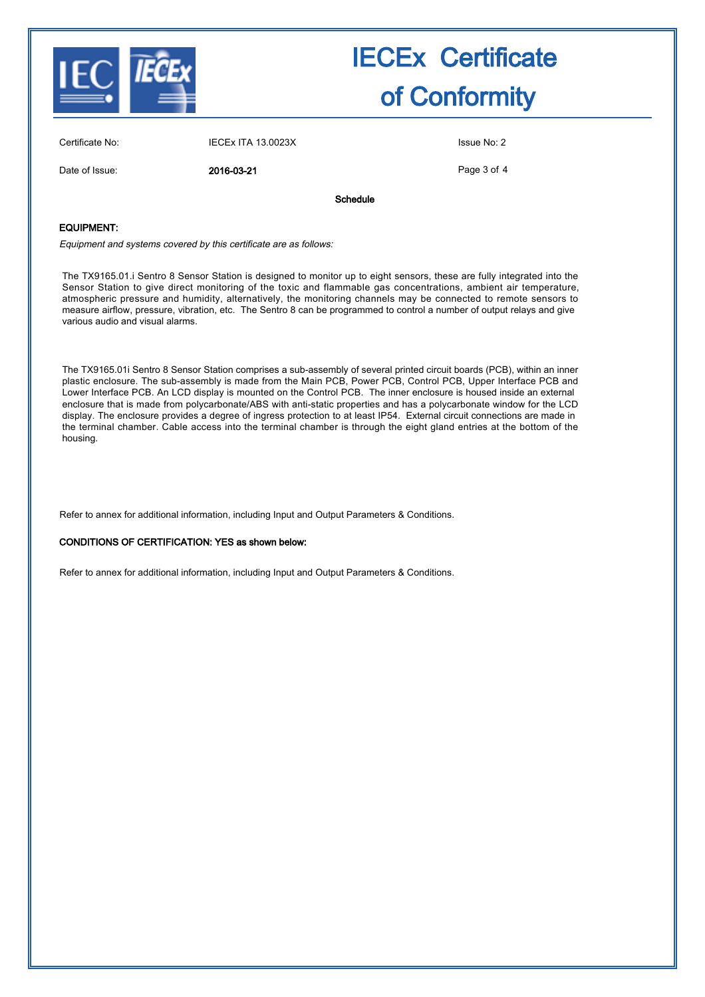

| Certificate No: | <b>IECEX ITA 13.0023X</b> |          | Issue No: 2 |
|-----------------|---------------------------|----------|-------------|
| Date of Issue:  | 2016-03-21                |          | Page 3 of 4 |
|                 |                           | Schedule |             |

#### EQUIPMENT:

Equipment and systems covered by this certificate are as follows:

The TX9165.01.i Sentro 8 Sensor Station is designed to monitor up to eight sensors, these are fully integrated into the Sensor Station to give direct monitoring of the toxic and flammable gas concentrations, ambient air temperature, atmospheric pressure and humidity, alternatively, the monitoring channels may be connected to remote sensors to measure airflow, pressure, vibration, etc. The Sentro 8 can be programmed to control a number of output relays and give various audio and visual alarms.

The TX9165.01i Sentro 8 Sensor Station comprises a sub-assembly of several printed circuit boards (PCB), within an inner plastic enclosure. The sub-assembly is made from the Main PCB, Power PCB, Control PCB, Upper Interface PCB and Lower Interface PCB. An LCD display is mounted on the Control PCB. The inner enclosure is housed inside an external enclosure that is made from polycarbonate/ABS with anti-static properties and has a polycarbonate window for the LCD display. The enclosure provides a degree of ingress protection to at least IP54. External circuit connections are made in the terminal chamber. Cable access into the terminal chamber is through the eight gland entries at the bottom of the housing.

Refer to annex for additional information, including Input and Output Parameters & Conditions.

#### CONDITIONS OF CERTIFICATION: YES as shown below:

Refer to annex for additional information, including Input and Output Parameters & Conditions.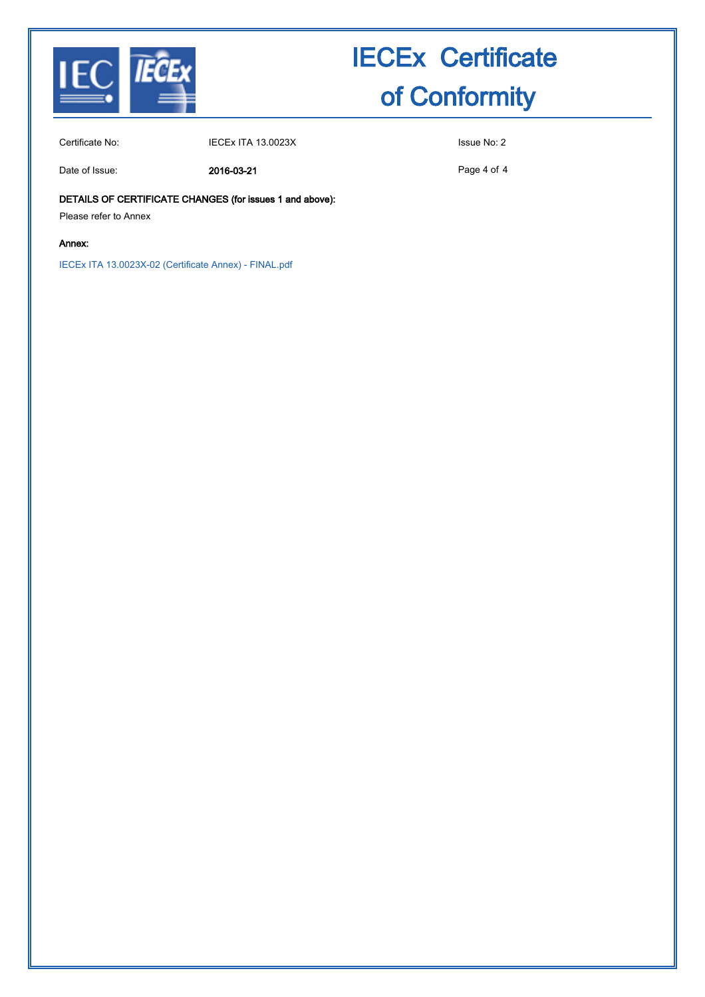

Certificate No: IECEx ITA 13.0023X Issue No: 2

Date of Issue: 2016-03-21

Page 4 of 4

DETAILS OF CERTIFICATE CHANGES (for issues 1 and above):

Please refer to Annex

#### Annex:

IECEx ITA 13.0023X-02 (Certificate Annex) - FINAL.pdf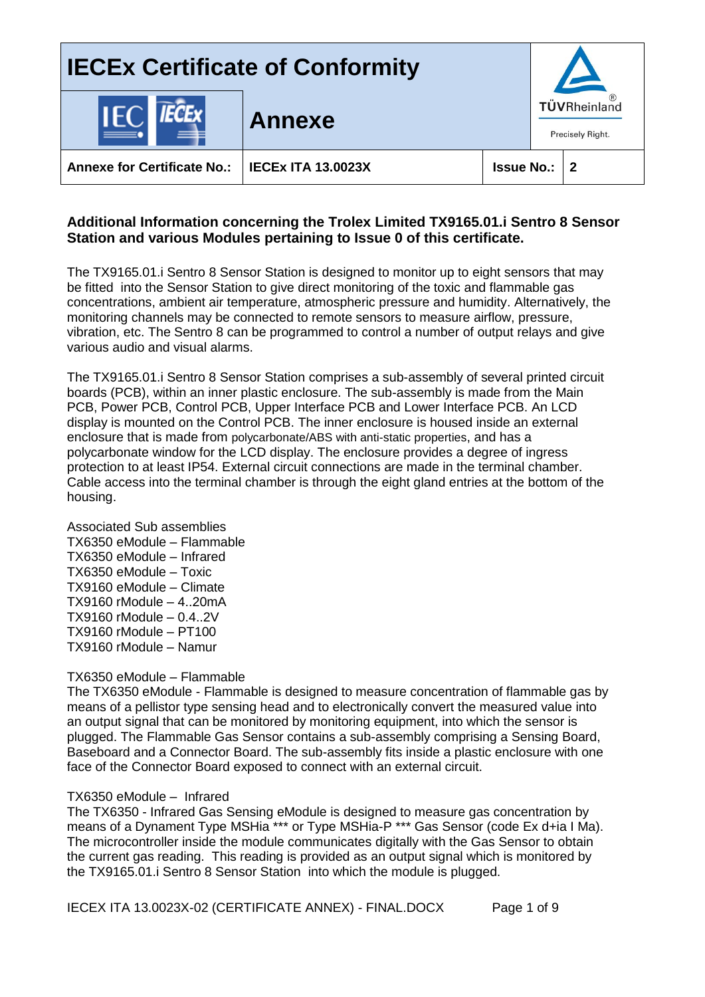

### **Additional Information concerning the Trolex Limited TX9165.01.i Sentro 8 Sensor Station and various Modules pertaining to Issue 0 of this certificate.**

The TX9165.01.i Sentro 8 Sensor Station is designed to monitor up to eight sensors that may be fitted into the Sensor Station to give direct monitoring of the toxic and flammable gas concentrations, ambient air temperature, atmospheric pressure and humidity. Alternatively, the monitoring channels may be connected to remote sensors to measure airflow, pressure, vibration, etc. The Sentro 8 can be programmed to control a number of output relays and give various audio and visual alarms.

The TX9165.01.i Sentro 8 Sensor Station comprises a sub-assembly of several printed circuit boards (PCB), within an inner plastic enclosure. The sub-assembly is made from the Main PCB, Power PCB, Control PCB, Upper Interface PCB and Lower Interface PCB. An LCD display is mounted on the Control PCB. The inner enclosure is housed inside an external enclosure that is made from polycarbonate/ABS with anti-static properties, and has a polycarbonate window for the LCD display. The enclosure provides a degree of ingress protection to at least IP54. External circuit connections are made in the terminal chamber. Cable access into the terminal chamber is through the eight gland entries at the bottom of the housing.

Associated Sub assemblies TX6350 eModule – Flammable TX6350 eModule – Infrared TX6350 eModule – Toxic TX9160 eModule – Climate TX9160 rModule – 4..20mA TX9160 rModule – 0.4..2V TX9160 rModule – PT100 TX9160 rModule – Namur

#### TX6350 eModule – Flammable

The TX6350 eModule - Flammable is designed to measure concentration of flammable gas by means of a pellistor type sensing head and to electronically convert the measured value into an output signal that can be monitored by monitoring equipment, into which the sensor is plugged. The Flammable Gas Sensor contains a sub-assembly comprising a Sensing Board, Baseboard and a Connector Board. The sub-assembly fits inside a plastic enclosure with one face of the Connector Board exposed to connect with an external circuit.

#### TX6350 eModule – Infrared

The TX6350 - Infrared Gas Sensing eModule is designed to measure gas concentration by means of a Dynament Type MSHia<sup>\*\*\*</sup> or Type MSHia-P<sup>\*\*\*</sup> Gas Sensor (code Ex d+ia I Ma). The microcontroller inside the module communicates digitally with the Gas Sensor to obtain the current gas reading. This reading is provided as an output signal which is monitored by the TX9165.01.i Sentro 8 Sensor Station into which the module is plugged.

IECEX ITA 13.0023X-02 (CERTIFICATE ANNEX) - FINAL.DOCX Page 1 of 9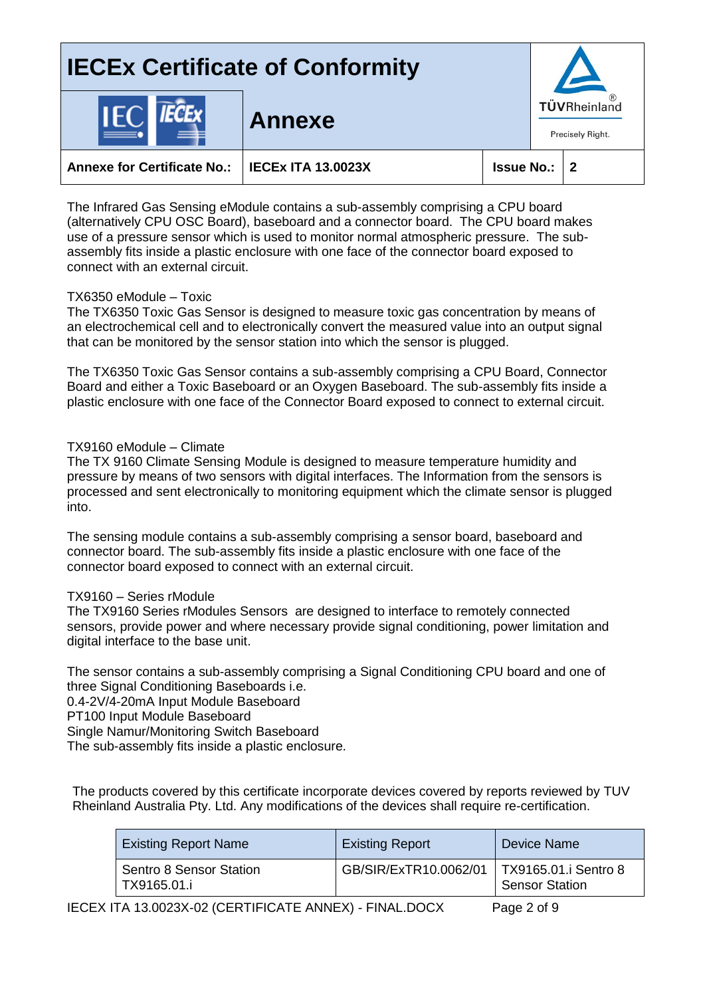

**Annexe for Certificate No.: IECEx ITA 13.0023X Issue No.: 2**

**Annexe**

The Infrared Gas Sensing eModule contains a sub-assembly comprising a CPU board (alternatively CPU OSC Board), baseboard and a connector board. The CPU board makes use of a pressure sensor which is used to monitor normal atmospheric pressure. The subassembly fits inside a plastic enclosure with one face of the connector board exposed to connect with an external circuit.

## TX6350 eModule – Toxic

The TX6350 Toxic Gas Sensor is designed to measure toxic gas concentration by means of an electrochemical cell and to electronically convert the measured value into an output signal that can be monitored by the sensor station into which the sensor is plugged.

The TX6350 Toxic Gas Sensor contains a sub-assembly comprising a CPU Board, Connector Board and either a Toxic Baseboard or an Oxygen Baseboard. The sub-assembly fits inside a plastic enclosure with one face of the Connector Board exposed to connect to external circuit.

## TX9160 eModule – Climate

The TX 9160 Climate Sensing Module is designed to measure temperature humidity and pressure by means of two sensors with digital interfaces. The Information from the sensors is processed and sent electronically to monitoring equipment which the climate sensor is plugged into.

The sensing module contains a sub-assembly comprising a sensor board, baseboard and connector board. The sub-assembly fits inside a plastic enclosure with one face of the connector board exposed to connect with an external circuit.

### TX9160 – Series rModule

The TX9160 Series rModules Sensors are designed to interface to remotely connected sensors, provide power and where necessary provide signal conditioning, power limitation and digital interface to the base unit.

The sensor contains a sub-assembly comprising a Signal Conditioning CPU board and one of three Signal Conditioning Baseboards i.e. 0.4-2V/4-20mA Input Module Baseboard

PT100 Input Module Baseboard

Single Namur/Monitoring Switch Baseboard

The sub-assembly fits inside a plastic enclosure.

The products covered by this certificate incorporate devices covered by reports reviewed by TUV Rheinland Australia Pty. Ltd. Any modifications of the devices shall require re-certification.

| <b>Existing Report Name</b>            | <b>Existing Report</b>                       | Device Name    |
|----------------------------------------|----------------------------------------------|----------------|
| Sentro 8 Sensor Station<br>TX9165.01.i | GB/SIR/ExTR10.0062/01   TX9165.01.i Sentro 8 | Sensor Station |

IECEX ITA 13.0023X-02 (CERTIFICATE ANNEX) - FINAL.DOCX Page 2 of 9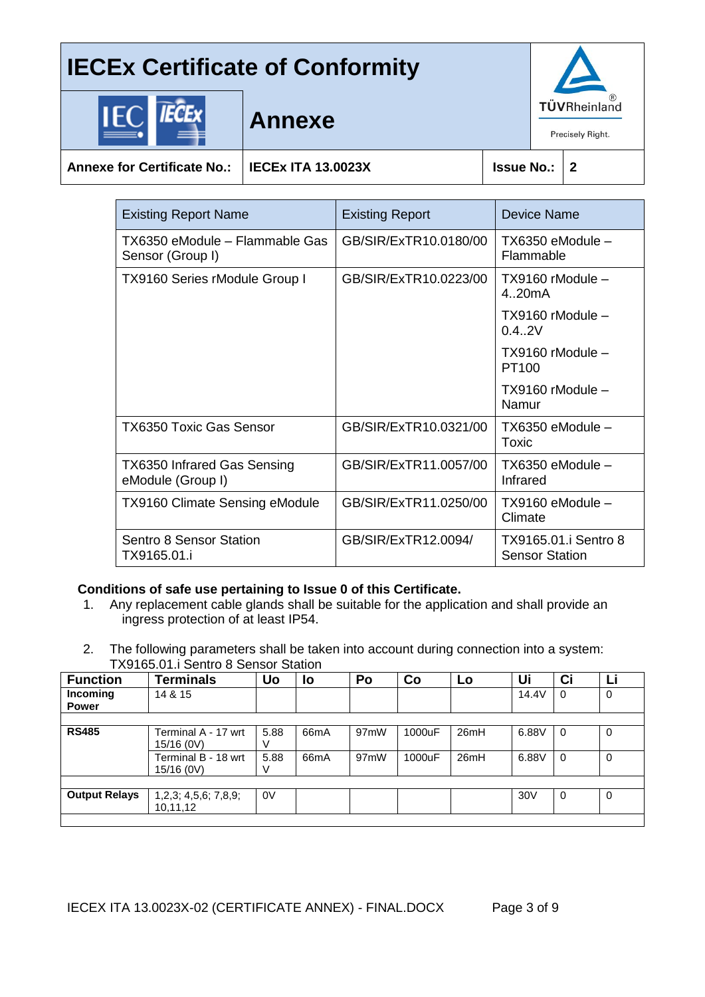

|--|--|

**Annexe**

**Annexe for Certificate No.: IECEx ITA 13.0023X Issue No.: 2**

| <b>Existing Report Name</b>                             | <b>Existing Report</b> | Device Name                                   |
|---------------------------------------------------------|------------------------|-----------------------------------------------|
| TX6350 eModule – Flammable Gas<br>Sensor (Group I)      | GB/SIR/ExTR10.0180/00  | TX6350 eModule -<br>Flammable                 |
| <b>TX9160 Series rModule Group I</b>                    | GB/SIR/ExTR10.0223/00  | TX9160 rModule -<br>420mA                     |
|                                                         |                        | TX9160 rModule -<br>0.4.2V                    |
|                                                         |                        | TX9160 rModule -<br>PT <sub>100</sub>         |
|                                                         |                        | TX9160 rModule -<br>Namur                     |
| <b>TX6350 Toxic Gas Sensor</b>                          | GB/SIR/ExTR10.0321/00  | TX6350 eModule -<br>Toxic                     |
| <b>TX6350 Infrared Gas Sensing</b><br>eModule (Group I) | GB/SIR/ExTR11.0057/00  | TX6350 eModule -<br>Infrared                  |
| <b>TX9160 Climate Sensing eModule</b>                   | GB/SIR/ExTR11.0250/00  | TX9160 eModule -<br>Climate                   |
| Sentro 8 Sensor Station<br>TX9165.01.i                  | GB/SIR/ExTR12.0094/    | TX9165.01.i Sentro 8<br><b>Sensor Station</b> |

### **Conditions of safe use pertaining to Issue 0 of this Certificate.**

- 1. Any replacement cable glands shall be suitable for the application and shall provide an ingress protection of at least IP54.
- 2. The following parameters shall be taken into account during connection into a system: TX9165.01.i Sentro 8 Sensor Station

| <b>Function</b>          | <b>Terminals</b>                  | Uo        | <b>lo</b>         | Po                | Co     | Lo   | Ui              | Ci       | LІ |
|--------------------------|-----------------------------------|-----------|-------------------|-------------------|--------|------|-----------------|----------|----|
| Incoming<br><b>Power</b> | 14 & 15                           |           |                   |                   |        |      | 14.4V           | $\Omega$ | 0  |
|                          |                                   |           |                   |                   |        |      |                 |          |    |
| <b>RS485</b>             | Terminal A - 17 wrt<br>15/16 (0V) | 5.88<br>V | 66 <sub>m</sub> A | 97 <sub>m</sub> W | 1000uF | 26mH | 6.88V           | $\Omega$ | 0  |
|                          | Terminal B - 18 wrt<br>15/16 (0V) | 5.88<br>V | 66 <sub>m</sub> A | 97 <sub>m</sub> W | 1000uF | 26mH | 6.88V           | 0        | 0  |
|                          |                                   |           |                   |                   |        |      |                 |          |    |
| <b>Output Relays</b>     | 1,2,3; 4,5,6; 7,8,9;<br>10,11,12  | 0V        |                   |                   |        |      | 30 <sub>V</sub> | 0        | 0  |
|                          |                                   |           |                   |                   |        |      |                 |          |    |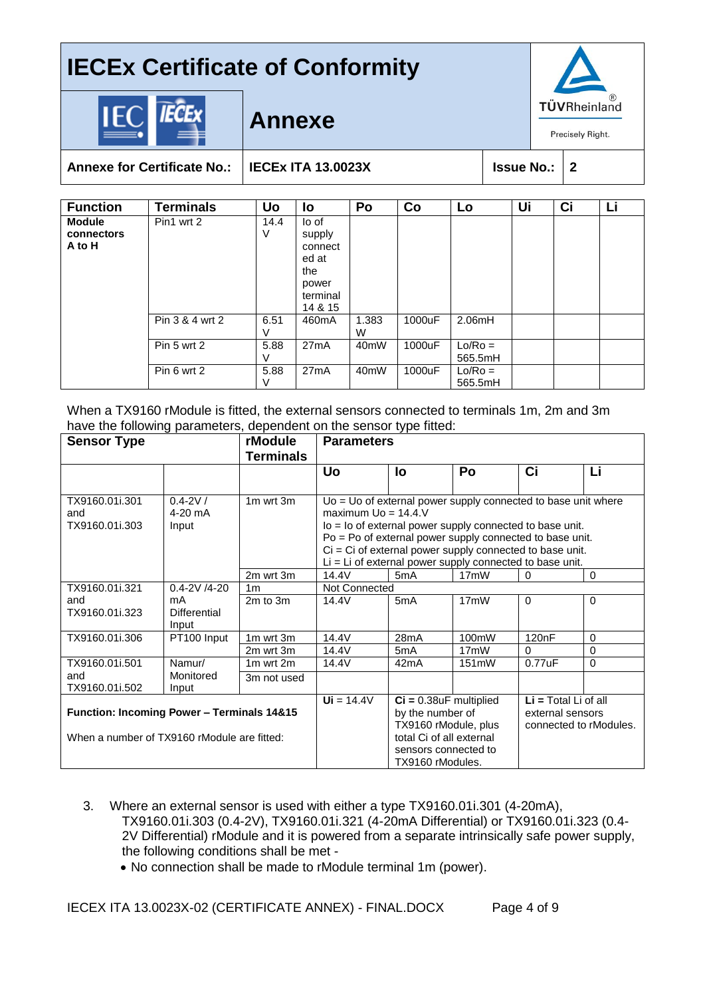

## **Annexe**



**Annexe for Certificate No.: IECEx ITA 13.0023X Issue No.: 2**

| <b>Function</b>                       | <b>Terminals</b> | <b>Uo</b> | lo                                                                         | Po                | Co     | Lo                   | Ui | Ci | Li |
|---------------------------------------|------------------|-----------|----------------------------------------------------------------------------|-------------------|--------|----------------------|----|----|----|
| <b>Module</b><br>connectors<br>A to H | Pin1 wrt 2       | 14.4<br>V | lo of<br>supply<br>connect<br>ed at<br>the<br>power<br>terminal<br>14 & 15 |                   |        |                      |    |    |    |
|                                       | Pin 3 & 4 wrt 2  | 6.51<br>V | 460 <sub>m</sub> A                                                         | 1.383<br>W        | 1000uF | 2.06mH               |    |    |    |
|                                       | Pin 5 wrt 2      | 5.88<br>V | 27mA                                                                       | 40 <sub>m</sub> W | 1000uF | $Lo/Ro =$<br>565.5mH |    |    |    |
|                                       | Pin 6 wrt 2      | 5.88<br>V | 27mA                                                                       | 40 <sub>m</sub> W | 1000uF | $Lo/Ro =$<br>565.5mH |    |    |    |

When a TX9160 rModule is fitted, the external sensors connected to terminals 1m, 2m and 3m have the following parameters, dependent on the sensor type fitted:

| <b>Sensor Type</b>                                    |                     | rModule          | <b>Parameters</b>                                          |                          |                                                                 |                        |             |
|-------------------------------------------------------|---------------------|------------------|------------------------------------------------------------|--------------------------|-----------------------------------------------------------------|------------------------|-------------|
|                                                       |                     | <b>Terminals</b> |                                                            |                          |                                                                 |                        |             |
|                                                       |                     |                  | <b>Uo</b>                                                  | <b>lo</b>                | Po                                                              | Ci                     | Li          |
|                                                       |                     |                  |                                                            |                          |                                                                 |                        |             |
| TX9160.01i.301                                        | $0.4 - 2V/$         | 1m wrt 3m        |                                                            |                          | $Uo = Uo$ of external power supply connected to base unit where |                        |             |
| and                                                   | $4-20$ mA           |                  | maximum $U_0 = 14.4$ .                                     |                          |                                                                 |                        |             |
| TX9160.01i.303                                        | Input               |                  | lo = lo of external power supply connected to base unit.   |                          |                                                                 |                        |             |
|                                                       |                     |                  | Po = Po of external power supply connected to base unit.   |                          |                                                                 |                        |             |
|                                                       |                     |                  | $Ci = Ci$ of external power supply connected to base unit. |                          |                                                                 |                        |             |
|                                                       |                     |                  |                                                            |                          | Li = Li of external power supply connected to base unit.        |                        |             |
|                                                       |                     | 2m wrt 3m        | 14.4V                                                      | 5 <sub>m</sub> A         | 17 <sub>m</sub> W                                               | 0                      | $\Omega$    |
| TX9160.01i.321                                        | $0.4 - 2V / 4 - 20$ | 1 <sub>m</sub>   | <b>Not Connected</b>                                       |                          |                                                                 |                        |             |
| and                                                   | mA                  | 2m to 3m         | 14.4V                                                      | 5mA                      | 17 <sub>m</sub> W                                               | $\Omega$               | $\Omega$    |
| TX9160.01i.323                                        | Differential        |                  |                                                            |                          |                                                                 |                        |             |
|                                                       | Input               |                  |                                                            |                          |                                                                 |                        |             |
| TX9160.01i.306                                        | PT100 Input         | 1m wrt 3m        | 14.4V                                                      | 28mA                     | 100mW                                                           | 120 <sub>n</sub> F     | $\Omega$    |
|                                                       |                     | 2m wrt 3m        | 14.4V                                                      | 5 <sub>m</sub> A         | 17 <sub>m</sub> W                                               | $\Omega$               | $\mathbf 0$ |
| TX9160.01i.501                                        | Namur/              | 1m wrt 2m        | 14.4V                                                      | 42mA                     | 151mW                                                           | $0.77$ u $F$           | $\Omega$    |
| and                                                   | Monitored           | 3m not used      |                                                            |                          |                                                                 |                        |             |
| TX9160.01i.502                                        | Input               |                  |                                                            |                          |                                                                 |                        |             |
|                                                       |                     |                  | $Ui = 14.4V$                                               | $Ci = 0.38uF$ multiplied |                                                                 | $Li = Total Li of all$ |             |
| <b>Function: Incoming Power - Terminals 14&amp;15</b> |                     |                  | by the number of                                           |                          | external sensors                                                |                        |             |
|                                                       |                     |                  | TX9160 rModule, plus                                       |                          | connected to rModules.                                          |                        |             |
| When a number of TX9160 rModule are fitted:           |                     |                  | total Ci of all external                                   |                          |                                                                 |                        |             |
|                                                       |                     |                  |                                                            | sensors connected to     |                                                                 |                        |             |
|                                                       |                     |                  |                                                            | TX9160 rModules.         |                                                                 |                        |             |

- 3. Where an external sensor is used with either a type TX9160.01i.301 (4-20mA), TX9160.01i.303 (0.4-2V), TX9160.01i.321 (4-20mA Differential) or TX9160.01i.323 (0.4- 2V Differential) rModule and it is powered from a separate intrinsically safe power supply, the following conditions shall be met -
	- No connection shall be made to rModule terminal 1m (power).

IECEX ITA 13.0023X-02 (CERTIFICATE ANNEX) - FINAL.DOCX Page 4 of 9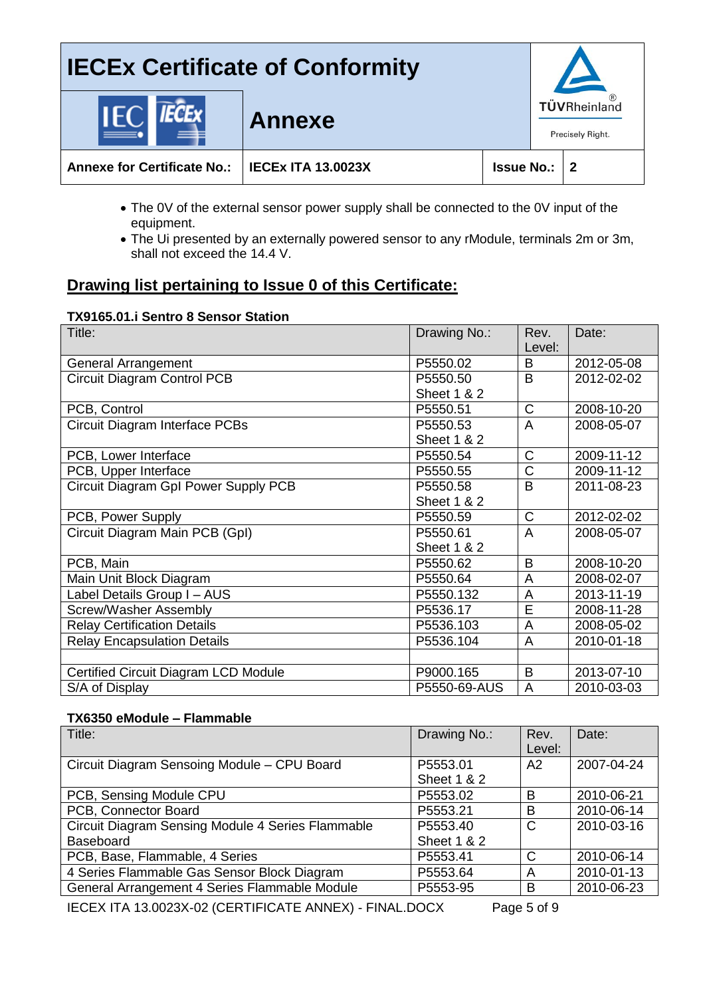## **IECEx Certificate of Conformity** TÜVRheinland **Annexe** Precisely Right. **Annexe for Certificate No.: IECEx ITA 13.0023X Issue No.: 2**

- The 0V of the external sensor power supply shall be connected to the 0V input of the equipment.
- The Ui presented by an externally powered sensor to any rModule, terminals 2m or 3m, shall not exceed the 14.4 V.

## **Drawing list pertaining to Issue 0 of this Certificate:**

### **TX9165.01.i Sentro 8 Sensor Station**

| Title:                                | Drawing No.:           | Rev.           | Date:      |
|---------------------------------------|------------------------|----------------|------------|
|                                       |                        | Level:         |            |
| <b>General Arrangement</b>            | P5550.02               | B              | 2012-05-08 |
| <b>Circuit Diagram Control PCB</b>    | P5550.50               | B              | 2012-02-02 |
|                                       | <b>Sheet 1 &amp; 2</b> |                |            |
| PCB, Control                          | P5550.51               | $\mathsf{C}$   | 2008-10-20 |
| <b>Circuit Diagram Interface PCBs</b> | P5550.53               | $\overline{A}$ | 2008-05-07 |
|                                       | <b>Sheet 1 &amp; 2</b> |                |            |
| PCB, Lower Interface                  | P5550.54               | $\mathsf C$    | 2009-11-12 |
| PCB, Upper Interface                  | P5550.55               | C              | 2009-11-12 |
| Circuit Diagram Gpl Power Supply PCB  | P5550.58               | B              | 2011-08-23 |
|                                       | <b>Sheet 1 &amp; 2</b> |                |            |
| PCB, Power Supply                     | P5550.59               | $\mathsf C$    | 2012-02-02 |
| Circuit Diagram Main PCB (GpI)        | P5550.61               | A              | 2008-05-07 |
|                                       | <b>Sheet 1 &amp; 2</b> |                |            |
| PCB, Main                             | P5550.62               | B              | 2008-10-20 |
| Main Unit Block Diagram               | P5550.64               | A              | 2008-02-07 |
| Label Details Group I - AUS           | P5550.132              | A              | 2013-11-19 |
| <b>Screw/Washer Assembly</b>          | P5536.17               | E              | 2008-11-28 |
| <b>Relay Certification Details</b>    | P5536.103              | A              | 2008-05-02 |
| <b>Relay Encapsulation Details</b>    | P5536.104              | A              | 2010-01-18 |
|                                       |                        |                |            |
| Certified Circuit Diagram LCD Module  | P9000.165              | B              | 2013-07-10 |
| S/A of Display                        | P5550-69-AUS           | A              | 2010-03-03 |

#### **TX6350 eModule – Flammable**

| Title:                                            | Drawing No.:                       | Rev.<br>Level: | Date:      |
|---------------------------------------------------|------------------------------------|----------------|------------|
| Circuit Diagram Sensoing Module - CPU Board       | P5553.01<br><b>Sheet 1 &amp; 2</b> | A2             | 2007-04-24 |
| PCB, Sensing Module CPU                           | P5553.02                           | B              | 2010-06-21 |
| PCB, Connector Board                              | P5553.21                           | B              | 2010-06-14 |
| Circuit Diagram Sensing Module 4 Series Flammable | P5553.40                           | C              | 2010-03-16 |
| <b>Baseboard</b>                                  | <b>Sheet 1 &amp; 2</b>             |                |            |
| PCB, Base, Flammable, 4 Series                    | P5553.41                           | C              | 2010-06-14 |
| 4 Series Flammable Gas Sensor Block Diagram       | P5553.64                           | A              | 2010-01-13 |
| General Arrangement 4 Series Flammable Module     | P5553-95                           | B              | 2010-06-23 |
|                                                   |                                    |                |            |

IECEX ITA 13.0023X-02 (CERTIFICATE ANNEX) - FINAL.DOCX Page 5 of 9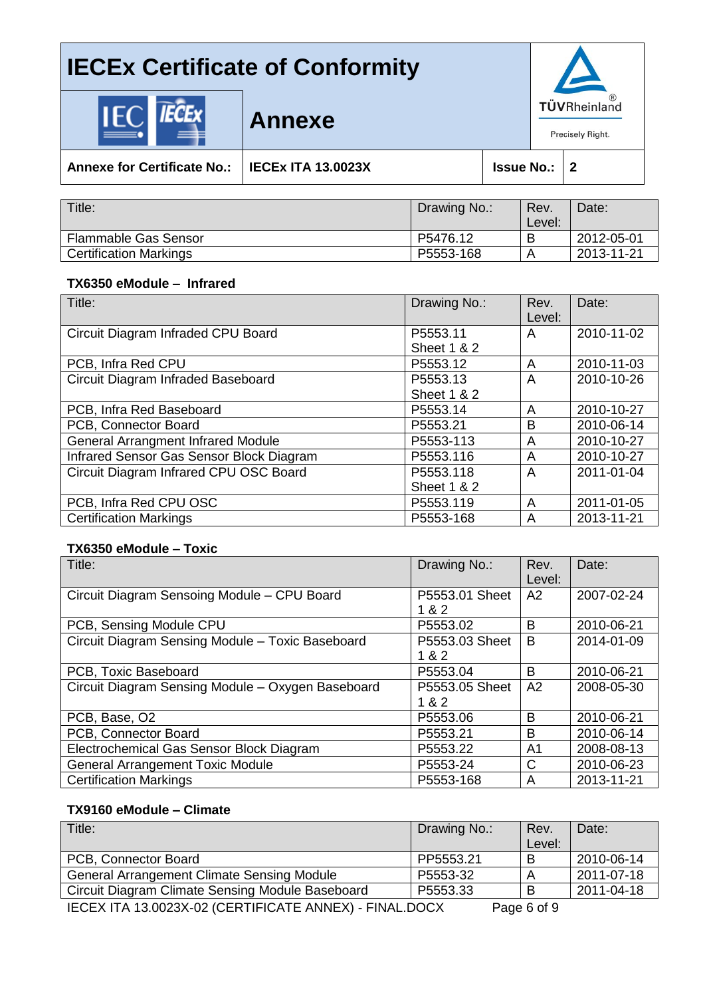

**Annexe for Certificate No.: IECEx ITA 13.0023X Issue No.: 2**

**Annexe**

| Title:                        | Drawing No.: | Rev.<br>Level: | Date:      |
|-------------------------------|--------------|----------------|------------|
| <b>Flammable Gas Sensor</b>   | P5476.12     |                | 2012-05-01 |
| <b>Certification Markings</b> | P5553-168    |                | 2013-11-21 |
|                               |              |                |            |

### **TX6350 eModule – Infrared**

| Title:                                    | Drawing No.:           | Rev.   | Date:      |
|-------------------------------------------|------------------------|--------|------------|
|                                           |                        | Level: |            |
| Circuit Diagram Infraded CPU Board        | P5553.11               | A      | 2010-11-02 |
|                                           | <b>Sheet 1 &amp; 2</b> |        |            |
| PCB, Infra Red CPU                        | P5553.12               | A      | 2010-11-03 |
| Circuit Diagram Infraded Baseboard        | P5553.13               | A      | 2010-10-26 |
|                                           | <b>Sheet 1 &amp; 2</b> |        |            |
| PCB, Infra Red Baseboard                  | P5553.14               | A      | 2010-10-27 |
| PCB, Connector Board                      | P5553.21               | B      | 2010-06-14 |
| <b>General Arrangment Infrared Module</b> | P5553-113              | A      | 2010-10-27 |
| Infrared Sensor Gas Sensor Block Diagram  | P5553.116              | A      | 2010-10-27 |
| Circuit Diagram Infrared CPU OSC Board    | P5553.118              | A      | 2011-01-04 |
|                                           | <b>Sheet 1 &amp; 2</b> |        |            |
| PCB, Infra Red CPU OSC                    | P5553.119              | A      | 2011-01-05 |
| <b>Certification Markings</b>             | P5553-168              | A      | 2013-11-21 |

#### **TX6350 eModule – Toxic**

| Title:                                            | Drawing No.:            | Rev.<br>Level: | Date:      |
|---------------------------------------------------|-------------------------|----------------|------------|
| Circuit Diagram Sensoing Module - CPU Board       | P5553.01 Sheet<br>1 & 2 | A2             | 2007-02-24 |
| PCB, Sensing Module CPU                           | P5553.02                | B              | 2010-06-21 |
| Circuit Diagram Sensing Module - Toxic Baseboard  | P5553.03 Sheet<br>1 & 2 | B              | 2014-01-09 |
| PCB, Toxic Baseboard                              | P5553.04                | <sub>B</sub>   | 2010-06-21 |
| Circuit Diagram Sensing Module - Oxygen Baseboard | P5553.05 Sheet<br>1 & 2 | A2             | 2008-05-30 |
| PCB, Base, O2                                     | P5553.06                | B              | 2010-06-21 |
| PCB, Connector Board                              | P5553.21                | B              | 2010-06-14 |
| Electrochemical Gas Sensor Block Diagram          | P5553.22                | A1             | 2008-08-13 |
| <b>General Arrangement Toxic Module</b>           | P5553-24                | C              | 2010-06-23 |
| <b>Certification Markings</b>                     | P5553-168               | A              | 2013-11-21 |

#### **TX9160 eModule – Climate**

| Title:                                                         | Drawing No.: | Rev.      | Date:      |
|----------------------------------------------------------------|--------------|-----------|------------|
|                                                                |              | Level:    |            |
| PCB, Connector Board                                           | PP5553.21    | B         | 2010-06-14 |
| <b>General Arrangement Climate Sensing Module</b>              | P5553-32     |           | 2011-07-18 |
| Circuit Diagram Climate Sensing Module Baseboard               | P5553.33     |           | 2011-04-18 |
| <b>IFOEV ITA 40 0000V OO (OFDTIFIOATE ANNIFY).</b> FINIAL BOOV |              | $D - 220$ |            |

IECEX ITA 13.0023X-02 (CERTIFICATE ANNEX) - FINAL.DOCX Page 6 of 9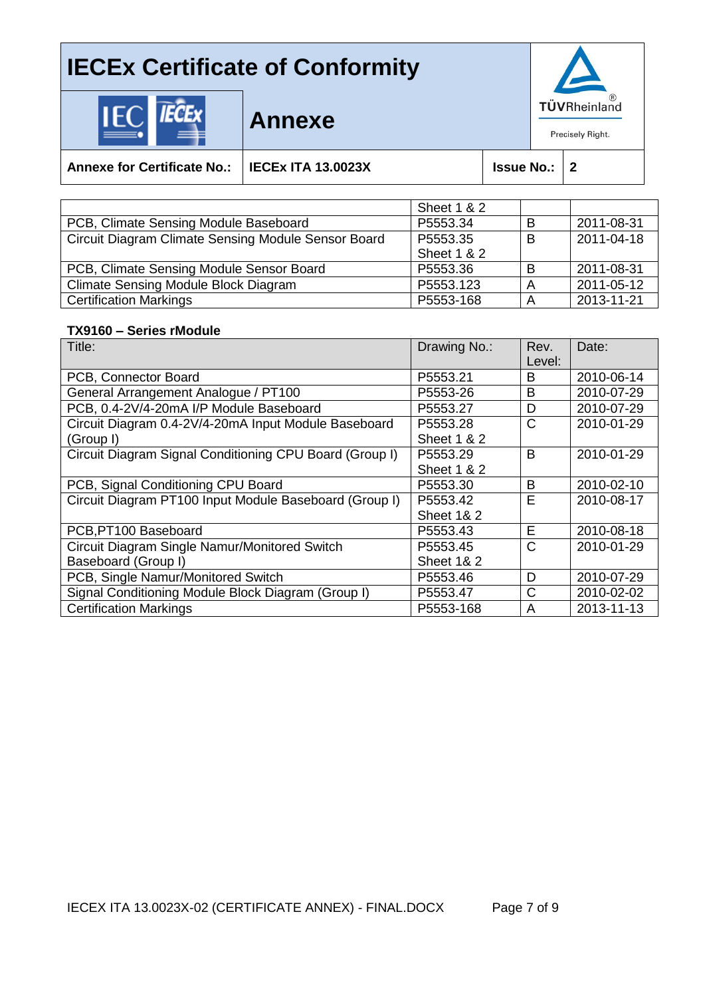

|--|--|

**Annexe**

**Annexe for Certificate No.: IECEx ITA 13.0023X Issue No.: 2**

|                                                     | <b>Sheet 1 &amp; 2</b> |   |            |
|-----------------------------------------------------|------------------------|---|------------|
| PCB, Climate Sensing Module Baseboard               | P5553.34               | В | 2011-08-31 |
| Circuit Diagram Climate Sensing Module Sensor Board | P5553.35               | B | 2011-04-18 |
|                                                     | <b>Sheet 1 &amp; 2</b> |   |            |
| PCB, Climate Sensing Module Sensor Board            | P5553.36               | B | 2011-08-31 |
| <b>Climate Sensing Module Block Diagram</b>         | P5553.123              | Δ | 2011-05-12 |
| <b>Certification Markings</b>                       | P5553-168              |   | 2013-11-21 |

#### **TX9160 – Series rModule**

| Title:                                                  | Drawing No.:           | Rev.<br>Level: | Date:      |
|---------------------------------------------------------|------------------------|----------------|------------|
| PCB, Connector Board                                    | P5553.21               | B              | 2010-06-14 |
|                                                         |                        |                |            |
| General Arrangement Analogue / PT100                    | P5553-26               | B              | 2010-07-29 |
| PCB, 0.4-2V/4-20mA I/P Module Baseboard                 | P5553.27               | D              | 2010-07-29 |
| Circuit Diagram 0.4-2V/4-20mA Input Module Baseboard    | P5553.28               | C              | 2010-01-29 |
| (Group I)                                               | <b>Sheet 1 &amp; 2</b> |                |            |
| Circuit Diagram Signal Conditioning CPU Board (Group I) | P5553.29               | B              | 2010-01-29 |
|                                                         | <b>Sheet 1 &amp; 2</b> |                |            |
| PCB, Signal Conditioning CPU Board                      | P5553.30               | B              | 2010-02-10 |
| Circuit Diagram PT100 Input Module Baseboard (Group I)  | P5553.42               | E              | 2010-08-17 |
|                                                         | <b>Sheet 1&amp; 2</b>  |                |            |
| PCB, PT100 Baseboard                                    | P5553.43               | E              | 2010-08-18 |
| Circuit Diagram Single Namur/Monitored Switch           | P5553.45               | C              | 2010-01-29 |
| Baseboard (Group I)                                     | <b>Sheet 1&amp; 2</b>  |                |            |
| PCB, Single Namur/Monitored Switch                      | P5553.46               | D              | 2010-07-29 |
| Signal Conditioning Module Block Diagram (Group I)      | P5553.47               | C              | 2010-02-02 |
| <b>Certification Markings</b>                           | P5553-168              | A              | 2013-11-13 |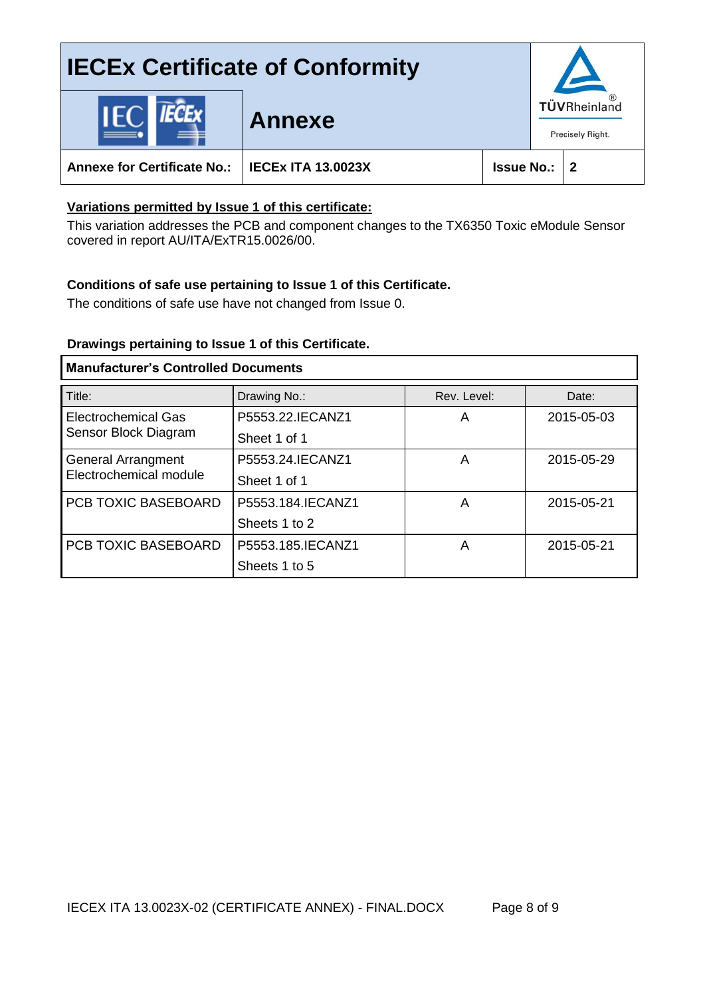## **IECEx Certificate of Conformity** TÜVRheinland **Annexe** Precisely Right. **Annexe for Certificate No.: IECEx ITA 13.0023X Issue No.: 2**

## **Variations permitted by Issue 1 of this certificate:**

This variation addresses the PCB and component changes to the TX6350 Toxic eModule Sensor covered in report AU/ITA/ExTR15.0026/00.

### **Conditions of safe use pertaining to Issue 1 of this Certificate.**

The conditions of safe use have not changed from Issue 0.

#### **Drawings pertaining to Issue 1 of this Certificate.**

## **Manufacturer's Controlled Documents**

| Title:                                             | Drawing No.:      | Rev. Level: | Date:      |
|----------------------------------------------------|-------------------|-------------|------------|
| <b>Electrochemical Gas</b><br>Sensor Block Diagram | P5553.22.IECANZ1  | A           | 2015-05-03 |
|                                                    | Sheet 1 of 1      |             |            |
| <b>General Arrangment</b>                          | P5553.24. IECANZ1 | A           | 2015-05-29 |
| Electrochemical module                             | Sheet 1 of 1      |             |            |
| <b>PCB TOXIC BASEBOARD</b>                         | P5553.184.IECANZ1 | A           | 2015-05-21 |
|                                                    | Sheets 1 to 2     |             |            |
| PCB TOXIC BASEBOARD                                | P5553.185.IECANZ1 | A           | 2015-05-21 |
|                                                    | Sheets 1 to 5     |             |            |